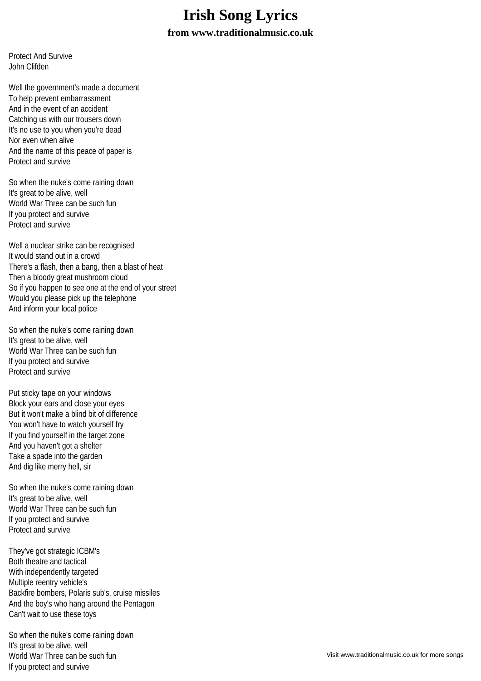## **Irish Song Lyrics**

**from www.traditionalmusic.co.uk**

Protect And Survive John Clifden

Well the government's made a document To help prevent embarrassment And in the event of an accident Catching us with our trousers down It's no use to you when you're dead Nor even when alive And the name of this peace of paper is Protect and survive

So when the nuke's come raining down It's great to be alive, well World War Three can be such fun If you protect and survive Protect and survive

Well a nuclear strike can be recognised It would stand out in a crowd There's a flash, then a bang, then a blast of heat Then a bloody great mushroom cloud So if you happen to see one at the end of your street Would you please pick up the telephone And inform your local police

So when the nuke's come raining down It's great to be alive, well World War Three can be such fun If you protect and survive Protect and survive

Put sticky tape on your windows Block your ears and close your eyes But it won't make a blind bit of difference You won't have to watch yourself fry If you find yourself in the target zone And you haven't got a shelter Take a spade into the garden And dig like merry hell, sir

So when the nuke's come raining down It's great to be alive, well World War Three can be such fun If you protect and survive Protect and survive

They've got strategic ICBM's Both theatre and tactical With independently targeted Multiple reentry vehicle's Backfire bombers, Polaris sub's, cruise missiles And the boy's who hang around the Pentagon Can't wait to use these toys

So when the nuke's come raining down It's great to be alive, well World War Three can be such fun If you protect and survive